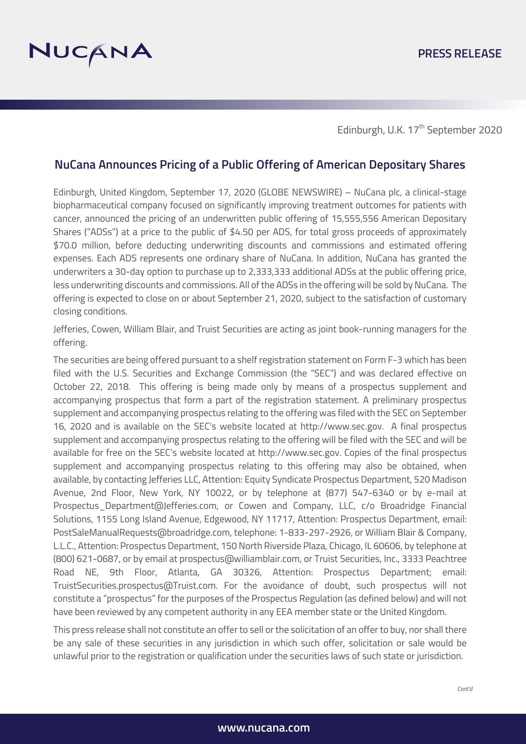Edinburgh, U.K. 17<sup>th</sup> September 2020

# **NuCana Announces Pricing of a Public Offering of American Depositary Shares**

Edinburgh, United Kingdom, September 17, 2020 (GLOBE NEWSWIRE) – NuCana plc, a clinical-stage biopharmaceutical company focused on significantly improving treatment outcomes for patients with cancer, announced the pricing of an underwritten public offering of 15,555,556 American Depositary Shares ("ADSs") at a price to the public of \$4.50 per ADS, for total gross proceeds of approximately \$70.0 million, before deducting underwriting discounts and commissions and estimated offering expenses. Each ADS represents one ordinary share of NuCana. In addition, NuCana has granted the underwriters a 30-day option to purchase up to 2,333,333 additional ADSs at the public offering price, less underwriting discounts and commissions. All of the ADSs in the offering will be sold by NuCana. The offering is expected to close on or about September 21, 2020, subject to the satisfaction of customary closing conditions.

Jefferies, Cowen, William Blair, and Truist Securities are acting as joint book-running managers for the offering.

The securities are being offered pursuant to a shelf registration statement on Form F-3 which has been filed with the U.S. Securities and Exchange Commission (the "SEC") and was declared effective on October 22, 2018. This offering is being made only by means of a prospectus supplement and accompanying prospectus that form a part of the registration statement. A preliminary prospectus supplement and accompanying prospectus relating to the offering was filed with the SEC on September 16, 2020 and is available on the SEC's website located at http://www.sec.gov. A final prospectus supplement and accompanying prospectus relating to the offering will be filed with the SEC and will be available for free on the SEC's website located at http://www.sec.gov. Copies of the final prospectus supplement and accompanying prospectus relating to this offering may also be obtained, when available, by contacting Jefferies LLC, Attention: Equity Syndicate Prospectus Department, 520 Madison Avenue, 2nd Floor, New York, NY 10022, or by telephone at (877) 547-6340 or by e-mail at Prospectus\_Department@Jefferies.com, or Cowen and Company, LLC, c/o Broadridge Financial Solutions, 1155 Long Island Avenue, Edgewood, NY 11717, Attention: Prospectus Department, email: PostSaleManualRequests@broadridge.com, telephone: 1-833-297-2926, or William Blair & Company, L.L.C., Attention: Prospectus Department, 150 North Riverside Plaza, Chicago, IL 60606, by telephone at (800) 621-0687, or by email at prospectus@williamblair.com, or Truist Securities, Inc., 3333 Peachtree Road NE, 9th Floor, Atlanta, GA 30326, Attention: Prospectus Department; email: TruistSecurities.prospectus@Truist.com. For the avoidance of doubt, such prospectus will not constitute a "prospectus" for the purposes of the Prospectus Regulation (as defined below) and will not have been reviewed by any competent authority in any EEA member state or the United Kingdom.

This press release shall not constitute an offer to sell or the solicitation of an offer to buy, nor shall there be any sale of these securities in any jurisdiction in which such offer, solicitation or sale would be unlawful prior to the registration or qualification under the securities laws of such state or jurisdiction.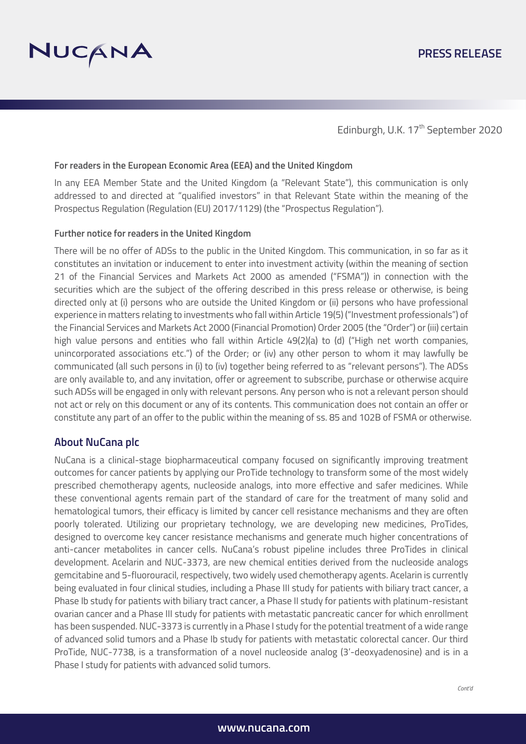

Edinburgh, U.K. 17<sup>th</sup> September 2020

#### **For readers in the European Economic Area (EEA) and the United Kingdom**

In any EEA Member State and the United Kingdom (a "Relevant State"), this communication is only addressed to and directed at "qualified investors" in that Relevant State within the meaning of the Prospectus Regulation (Regulation (EU) 2017/1129) (the "Prospectus Regulation").

#### **Further notice for readers in the United Kingdom**

There will be no offer of ADSs to the public in the United Kingdom. This communication, in so far as it constitutes an invitation or inducement to enter into investment activity (within the meaning of section 21 of the Financial Services and Markets Act 2000 as amended ("FSMA")) in connection with the securities which are the subject of the offering described in this press release or otherwise, is being directed only at (i) persons who are outside the United Kingdom or (ii) persons who have professional experience in matters relating to investments who fall within Article 19(5) ("Investment professionals") of the Financial Services and Markets Act 2000 (Financial Promotion) Order 2005 (the "Order") or (iii) certain high value persons and entities who fall within Article 49(2)(a) to (d) ("High net worth companies, unincorporated associations etc.") of the Order; or (iv) any other person to whom it may lawfully be communicated (all such persons in (i) to (iv) together being referred to as "relevant persons"). The ADSs are only available to, and any invitation, offer or agreement to subscribe, purchase or otherwise acquire such ADSs will be engaged in only with relevant persons. Any person who is not a relevant person should not act or rely on this document or any of its contents. This communication does not contain an offer or constitute any part of an offer to the public within the meaning of ss. 85 and 102B of FSMA or otherwise.

# **About NuCana plc**

NuCana is a clinical-stage biopharmaceutical company focused on significantly improving treatment outcomes for cancer patients by applying our ProTide technology to transform some of the most widely prescribed chemotherapy agents, nucleoside analogs, into more effective and safer medicines. While these conventional agents remain part of the standard of care for the treatment of many solid and hematological tumors, their efficacy is limited by cancer cell resistance mechanisms and they are often poorly tolerated. Utilizing our proprietary technology, we are developing new medicines, ProTides, designed to overcome key cancer resistance mechanisms and generate much higher concentrations of anti-cancer metabolites in cancer cells. NuCana's robust pipeline includes three ProTides in clinical development. Acelarin and NUC-3373, are new chemical entities derived from the nucleoside analogs gemcitabine and 5-fluorouracil, respectively, two widely used chemotherapy agents. Acelarin is currently being evaluated in four clinical studies, including a Phase III study for patients with biliary tract cancer, a Phase Ib study for patients with biliary tract cancer, a Phase II study for patients with platinum-resistant ovarian cancer and a Phase III study for patients with metastatic pancreatic cancer for which enrollment has been suspended. NUC-3373 is currently in a Phase I study for the potential treatment of a wide range of advanced solid tumors and a Phase Ib study for patients with metastatic colorectal cancer. Our third ProTide, NUC-7738, is a transformation of a novel nucleoside analog (3'-deoxyadenosine) and is in a Phase I study for patients with advanced solid tumors.